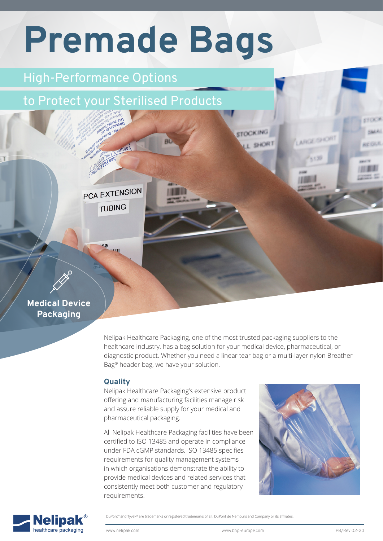# **Premade Bags**

## High-Performance Options

PCA EXTENSION

TUBING

 $50$ ua il III

# to Protect your Sterilised Products

## **Medical Device Packaging**

Nelipak Healthcare Packaging, one of the most trusted packaging suppliers to the healthcare industry, has a bag solution for your medical device, pharmaceutical, or diagnostic product. Whether you need a linear tear bag or a multi-layer nylon Breather Bag® header bag, we have your solution.

**STOCKING** 

L SHORT

**ARGE/SHOR** 

### **Quality**

Nelipak Healthcare Packaging's extensive product offering and manufacturing facilities manage risk and assure reliable supply for your medical and pharmaceutical packaging.

All Nelipak Healthcare Packaging facilities have been certified to ISO 13485 and operate in compliance under FDA cGMP standards. ISO 13485 specifies requirements for quality management systems in which organisations demonstrate the ability to provide medical devices and related services that consistently meet both customer and regulatory requirements.





DuPont™ and Tyvek® are trademarks or registered trademarks of E.I. DuPont de Nemours and Company or its affiliates.